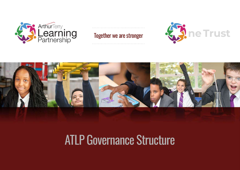





### ATLP Governance Structure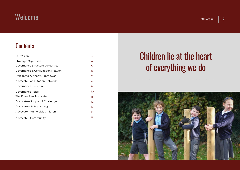### $\mathsf{W}$ elcome atl $\mathsf{P}$  atl $\mathsf{P}$  atl $\mathsf{P}$  atl $\mathsf{P}$  atl $\mathsf{P}$  atl $\mathsf{P}$  atl $\mathsf{P}$  org.uk  $\mathsf{P}$  2

**Contents** 

### **Contents**<br>
Our Vision<br>
Strategic Objectives<br>
Governance Structure Objectives **Contents<br>
Strategic Objectives<br>
Strategic Objectives<br>
Sovernance & Consultation Network<br>
Sovernance & Consultation Network** Governance Structure Objectives Governance & Consultation Network Delegated Authority Framework Advocate Consultation Network Our Vision<br>Strategic Objectives<br>Governance Structure Objectives<br>Governance & Consultation Network<br>Delegated Authority Framework<br>Advocate Consultation Network<br>Governance Structure<br>Governance Roles Strategic Objectives<br>Governance Structure Objectives<br>Governance & Consultation Network<br>Delegated Authority Framework<br>Advocate Consultation Network<br>Governance Roles<br>The Role of an Advocate<br>Advocate – Support & Challenge The Role of an Advocate Covernance Stracture Objectives<br>
Covernance & Consultation Network<br>
Advocate Consultation Network<br>
Covernance Structure<br>
Covernance Roles<br>
The Role of an Advocate<br>
Advocate – Support & Challenge<br>
Advocate – Safeguarding<br>
A Belegated Authority Framework<br>Advocate Consultation Network<br>Governance Structure<br>Governance Roles<br>The Role of an Advocate<br>Advocate – Support & Challenge<br>Advocate – Safeguarding<br>Advocate – Vulnerable Children Advocate Consultation Network<br>Covernance Structure<br>Covernance Roles<br>The Role of an Advocate<br>Advocate – Support & Challenge<br>Advocate – Safeguarding<br>Advocate – Vulnerable Children<br>Advocate – Community Governance Structure<br>Covernance Roles<br>The Role of an Advocate<br>Advocate – Support & Challenge<br>Advocate – Safeguarding<br>Advocate – Vulnerable Children<br>Advocate – Community 3 4 5 6 7 8 9 11

### Children lie at the heart of everything we do

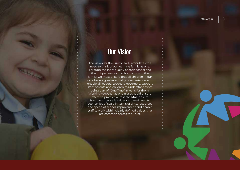atlp.org.uk  $\vert$  3

# Our Vision

**OUT Vision**<br>The vision for the Trust clearly articulates the<br>need to think of our learning family as one.<br>Through the individuality of each school and<br>the uniqueness each school brings to the **OUT VISION**<br>
The vision for the Trust clearly articulates the<br>
the vision for the Trust clearly articulates the<br>
need to think of our learning family as one.<br>
Through the individuality of each school and<br>
the uniqueness e **Solution School and School and School and School and School and School and School and the uniqueness each school brings to the school and the uniqueness each school brings to the school and the uniqueness each school brin Cur Vision**<br> **Cur Vision**<br>
The vision for the Trust clearly articulates the<br>
eed to think of our learning family as one.<br>
The uniqueness each school brings to the<br>
mily, we must ensure that all children in our<br>
re have a **Curly Vision**<br>The vision for the Trust clearly articulates the<br>need to think of our learning family as one.<br>Through the individuality of each school and<br>the uniqueness each school brings to the<br>family, we must ensure that **Curry Vision**<br>The vision for the Trust clearly articulates the<br>need to think of our learning family as one.<br>Through the individuality of each school and<br>the uniqueness each school brings to the<br>family, we must ensure that **Example 19:49 CONTROVER CONTROVER CONTROVER CONTROVER CONTROVER CONTROVIDED AND A CONTROVER CONTROVER CONTROVER CONTROVER CONTROVER CONTROVER CONTROVER CONTROVER CONTROVER CONTROVER CONTROVER CONTROVER CONTROVER CONTROVER Starff, parents and children to understand what the state of the state of the state of the uniqueness each school and the uniqueness each school brings to the family, we must ensure that all children in our care have a gr** the vision for the Trust clearly articulates the<br>
eed to think of our learning family as one.<br>
Inrough the individuality of each school and<br>
the uniqueness each school brings to the<br>
mily, we must ensure that all children The vision for the Trust clearly articulates the<br>
need to think of our learning family as one.<br>
Through the individuality of each school and<br>
the uniqueness each school brings to the<br>
family, we must ensure that all childr ie vision for the Trust clearly articulates the<br>reed to think of our learning family as one.<br>In the uniqueness each school brings to the<br>mily, we must ensure that all children in our<br>ensure a greater equality of experience need to think of our learning family as one.<br>
Through the individuality of each school and<br>
the uniqueness each school brings to the<br>
imily, we must ensure that all children in our<br>
irre have a greater equality of experien Through the individuality of each school and<br>
the uniqueness each school brings to the<br>
family, we must ensure that all children in our<br>
care have a greater equality of experience, and<br>
enable all leaders, teachers, govern the uniqueness each school brings to the<br>family, we must ensure that all children in our<br>care have a greater equality of experience, and<br>enable all leaders, teachers, governors, support<br>staff, parents and children to under family, we must ensure that all children in our<br>
care have a greater equality of experience, and<br>
enable all leaders, teachers, governors, support<br>
staff, parents and children to understand what<br>
being part of "One Trust" e a greater equality of experience, and<br>
II leaders, teachers, governors, support<br>
ents and children to understand what<br>
part of "One Trust" means for them.<br>
is together as one trust should ensure<br>
ive practice across the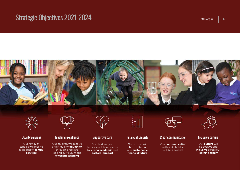# $\frac{1}{2}$ Strategic Objectives 2021-2024







Our family of at the contract of the contract of the contract of the contract of the contract of the contract of the contract of the contract of the contract of the contract of the contract of the contract of the contract of the contrac services



Our children will receive Teaching excellence<br>
Our children will receive<br>
Our children will receive<br>
a high-quality **education**<br>
through a forward<br>
looking curriculum and<br> **excellent teaching** through a forward looking curriculum and **pastoral support**<br>**excellent teaching** Fraching excellence<br>
Fraching excellence<br>
In children will receive<br>
Supportive care<br>
<br>
Supportive care<br>
<br>
Supportive care<br>
<br>
Supportive care<br>
<br>
Supportive care<br>
<br>
<br>
Supportive care<br>
<br>
<br>
Supportive care<br>
<br>
<br>
Supportive acce schools will receive a high-quality education



Our children (and<br>families) will have access Supportive care<br>
Supportive care<br>
Financial security<br>
Our children (and<br>
families) will have access<br>
to strong academic and<br>
pastoral support<br>
Financial future<br>
financial future to **strong academic** and Supportive care<br>
Supportive care<br>
Our children (and<br>
Cur children (and<br>
The Cur schools will<br>
trong academic and<br>
pastoral support<br>
The Cur schools will<br>
trong academic and<br>
pastoral support<br>
Financial future<br>
financial fu



Our schools will have a strong and sustainable Financial security<br>
Clear communication<br>
Clear communication<br>
Dur schools will<br>
have a strong<br>
and **sustainable**<br>
Financial future<br>
Financial future<br>
Suil be effective<br>
Suil be effective



Our **communication** Our **culture** will<br>with stakeholders be positive and with stakeholders be positive and<br>will be **effective by an inclusive** across our



Our culture will **learning family**<br> **learning family**<br> **learning family**<br> **learning family**<br> **learning family**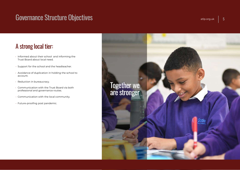# **Governance Structure Objectives**<br> **A strong local tier:**<br>
• Informed about their school and informing the<br>
Trust Board about local need.<br>
• Support for the school and the headteacher.

- 
- 
- account. • Informed about their school and informing the<br>Frust Board about local need.<br>• Support for the school and the headteacher.<br>• Avoidance of duplication in holding the school to<br>account.<br>• Reduction in bureaucracy.<br>• Commun From their school and informing the<br>Frust Board about local need.<br>For the school and the headteacher.<br>For the school and the headteacher.<br>For the school to<br>account.<br>Feduction in bureaucracy.<br>For the local communication wit
- 
- 
- 
- 

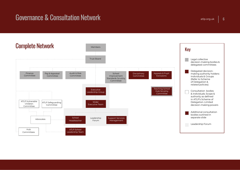# Governance & Consultation Network at the Consultation of the Consultation of the Consultation of the Consultation of the Consultation of the Consultation of the Consultation of the Consultation of the Consultation of the C

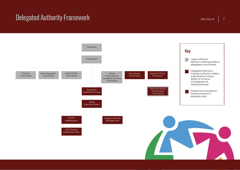# $\textbf{D}$ elegated Authority Framework at the contract of the contract of the contract of the contract of the contract of the contract of the contract of the contract of the contract of the contract of the contract of the c

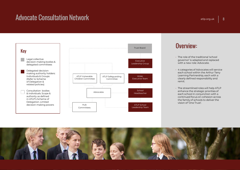# Advocate Consultation Network at the consultation of the consultation of the consultation of the consultation  $\mathsf{R}$



### Overview:

- The role of the traditional 'school governor' is adapted and replaced<br>with a new role: Advocate.
- **CONCRIMENT:**<br>
 The role of the traditional 'school<br>
governor' is adapted and replaced<br>
with a new role: Advocate.<br>
 4 categories of Advocates will service<br>
each school within the Arthur Terry<br>
Learning Partnership, each each school within the Arthur Terry Learning Partnership, each with a clearly defined responsibility and remit.
- The streamlined roles will help ATLP enhance the strategic priorities of each school in conjunction with a<br>continued focus on cohesion across with a new role: Advocate.<br>
4 categories of Advocates will service<br>
each school within the Arthur Terry<br>
Learning Partnership, each with a<br>
clearly defined responsibility and<br>
remit.<br>
The streamlined roles will help ATLP<br> the family of schools to deliver the 4 categories of Advocates will service<br>each school within the Arthur Terry<br>Learning Partnership, each with a<br>clearly defined responsibility and<br>remit.<br>The streamlined roles will help ATLP<br>enhance the strategic priorities o

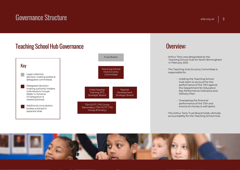# $\textbf{Government} \leftarrow \textbf{Server} \cup \textbf{Server} \cup \textbf{Server} \cup \textbf{Server} \cup \textbf{Server} \cup \textbf{Server} \cup \textbf{Server} \cup \textbf{Server} \cup \textbf{Server} \cup \textbf{Server} \cup \textbf{Server} \cup \textbf{Server} \cup \textbf{Server} \cup \textbf{Server} \cup \textbf{Server} \cup \textbf{Server} \cup \textbf{Server} \cup \textbf{Server} \cup \textbf{Server} \cup \textbf{Server} \cup \textbf{Server} \cup \textbf{Server} \cup \textbf{Server} \cup \textbf{Server} \cup \textbf{Server} \cup \textbf{Server} \cup \textbf$



### Overview:

- experience of the Magnetic Product of the Magnetic Product of the Teaching School Hub for North Birmingham<br>in February 2021. Teaching School Hub for North Birmingham **in February 2021.**<br>
• Arthur Terry was designated as the<br>
Teaching School Hub for North Birmingham<br>
in February 2021.<br>
• The Teaching Hub Scrutiny Committee is<br>
responsible for: **Property:**<br>
Arthur Terry was designated as the<br>
Teaching School Hub for North Birmingham<br>
in February 2021.<br>
The Teaching Hub Scrutiny Committee is<br>
responsible for:<br>
• Holding the Teaching School<br>
Hub team to account for
- 
- Hub team to account for the performance of the TSH against the Department for Education Key Performance Indicators and<br>Delivery Plan. ng School Hub for North Birmingham<br>
"uary 2021.<br>
• Aching Hub Scrutiny Committee is<br>
sible for:<br>
• Holding the Teaching School<br>
Hub team to account for the<br>
performance of the TSH against<br>
the Department for Education<br>
Key responsible for:<br>
• Holding the Teaching School<br>
• Hub team to account for the<br>
performance of the TSH against<br>
the Department for Education<br>
• Key Performance Indicators and<br>
Delivery Plan.<br>
• Overseeing the financial<br>
pe Hub team to account for the<br>performance of the TSH against<br>the Department for Education<br>Key Performance Indicators and<br>Delivery Plan.<br>• Overseeing the financial<br>performance of the TSH and<br>ensure its money is well spent.<br>Th
	- performance of the TSH and
- 

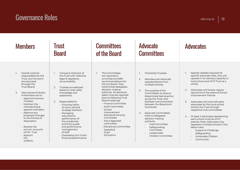# Governance Roles at the control of the control of the control of the control of the control of the control of the control of the control of the control of the control of the control of the control of the control of the con

| $u_{\rm up,01}$ given<br><b>U</b>                                                                                                                                                                                                                                                                                                                                                                                                                                 |                                                                                                                                                                                                                                                                                                                                                                                                                                                                                                         |                                                                                                                                                                                                                                                                                                                                                                                                                                                                                               |                                                                                                                                                                                                                                                                                                                                                                                                                                                                                          |                                                                                                                                                                                                                                                                                                                                                                                                                                                                                                                                                                                                                                                                                                        |
|-------------------------------------------------------------------------------------------------------------------------------------------------------------------------------------------------------------------------------------------------------------------------------------------------------------------------------------------------------------------------------------------------------------------------------------------------------------------|---------------------------------------------------------------------------------------------------------------------------------------------------------------------------------------------------------------------------------------------------------------------------------------------------------------------------------------------------------------------------------------------------------------------------------------------------------------------------------------------------------|-----------------------------------------------------------------------------------------------------------------------------------------------------------------------------------------------------------------------------------------------------------------------------------------------------------------------------------------------------------------------------------------------------------------------------------------------------------------------------------------------|------------------------------------------------------------------------------------------------------------------------------------------------------------------------------------------------------------------------------------------------------------------------------------------------------------------------------------------------------------------------------------------------------------------------------------------------------------------------------------------|--------------------------------------------------------------------------------------------------------------------------------------------------------------------------------------------------------------------------------------------------------------------------------------------------------------------------------------------------------------------------------------------------------------------------------------------------------------------------------------------------------------------------------------------------------------------------------------------------------------------------------------------------------------------------------------------------------|
| <b>Members</b>                                                                                                                                                                                                                                                                                                                                                                                                                                                    | <b>Trust</b><br><b>Board</b>                                                                                                                                                                                                                                                                                                                                                                                                                                                                            | <b>Committees</b><br>of the Board                                                                                                                                                                                                                                                                                                                                                                                                                                                             | <b>Advocate</b><br><b>Committees</b>                                                                                                                                                                                                                                                                                                                                                                                                                                                     | <b>Advocates</b>                                                                                                                                                                                                                                                                                                                                                                                                                                                                                                                                                                                                                                                                                       |
| Overall nominal<br>$\mathbf{L}$<br>responsibility for the<br>Trust, but functions<br>are exercised<br>through the<br>Trust Board.<br>2.<br>Main powers & duties<br>of Members are to:<br>· Appoint & remove<br>Trustees.<br>$\cdot$ Maintain the<br>membership &<br>appoint members.<br>$\cdot$ Approve any<br>proposed changes<br>to the Articles of<br>Association.<br>$\cdot$ Receive the<br>annual accounts<br>of the Trust.<br>· Appoint<br>the<br>auditors. | Company Directors of<br>the Trust with collective<br>legal & regulatory<br>accountability.<br>$\overline{2}$<br>Trustees are selected<br>based on their skills.<br>knowledge and<br>experience.<br>$\overline{3}$<br>Responsible for:<br>· Ensuring clarity<br>of vision, ethos &<br>strategic direction.<br>$\cdot$ Managing<br>educational<br>performance of<br>the academies<br>and their pupils<br>and performance<br>management<br>of staff.<br>• Overseeing the Trust's<br>financial performance. | The Committees<br>$\mathbf{L}$<br>are required to<br>scrutinise and offer<br>recommendations for<br>the full Board. They<br>hold limited delegated<br>decision-making<br>authority. All decisions<br>taken must be reported<br>back at following Trust<br>Board meetings.<br>· Finance Committee<br>· Audit Committee<br>$\cdot$ School<br>Improvement<br>Standards Scrutiny<br>Committee<br>· Pay & Appraisal<br>Committee<br>· Disciplinary Committee<br>· Appeals &<br>Pupil<br>Exclusions | Chaired by Trustees.<br>1.<br>2.<br>Members are Advocate<br>representatives from<br>multiple schools.<br>$\overline{3}$ .<br>The purpose of the<br>Committees: to share &<br>disseminate best practice<br>across the Trust, and<br>facilitate communication<br>between the Board and<br>local levels.<br>Advocate Committees<br>4 <sup>1</sup><br>hold no delegated<br>decision-making<br>authority.<br>Hub Committee<br>Safeguarding<br>Committee<br>Looked after<br>Children Committee | Specific skillsets required for<br>specific advocate roles, who will<br>operate in an advisory capacity to<br>local school and ATLP Trust as a<br>whole.<br>Advocates will receive regular<br>$\overline{2}$ .<br>reports from the external School<br>Improvement Partner.<br>$\overline{3}$<br>Advocates will work with peer<br>advocates for the local school,<br>and for the Trust through<br>respective Hub committees.<br>At least 2 advocates representing<br>4 <sup>1</sup><br>each school must be ATLP<br>parents. Note: Advocates may<br>represent multiple schools in the<br>below roles:<br>Support & Challenge<br>Safeguarding<br>Vulnerable Children<br>Community<br>$\ddot{\phantom{0}}$ |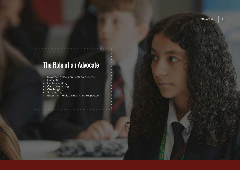### **The Role of an Advocate**<br>• Involved in decision-making process<br>• Understanding<br>• Understanding<br>• Communicating **The Role of an Advoca**<br>• Involved in decision-making proces<br>• Consulting<br>• Understanding<br>• Communicating<br>• Challenging **The Role of an Advocater**<br>• Involved in decision-making process<br>• Consulting<br>• Understanding<br>• Challenging<br>• Challenging<br>• Supporting **The Role of an Advocate**<br>• Involved in decision-making process<br>• Consulting<br>• Understanding<br>• Challenging<br>• Supporting<br>• Supporting<br>• Ensuring individual rights are respected The Role of an Advocation<br>- Involved in decision-making proces<br>- Consulting<br>- Understanding<br>- Challenging<br>- Supporting<br>- Ensuring individual rights are respe The Role of an Advocal<br>
• Involved in decision-making proces<br>
• Consulting<br>
• Communicating<br>
• Challenging<br>
• Supporting<br>• Ensuring individual rights are respe The Role of an Advocate<br>
• Involved in decision-making process<br>
• Consulting<br>
• Understanding<br>
• Communicating<br>
• Communicating<br>
• Supporting<br>
• Supporting<br>
• Ensuring individual rights are respected<br>
• Ensuring individual The Role of an Advocate

- 
- 
- 
- 
- 
- 
-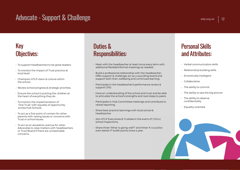# Advocate - Support & Challenge atlantic atlantic atlantic atlantic atlantic atlantic atlantic atlantic atlantic<br>Advocate - Support & Challenge atlantic atlantic atlantic atlantic atlantic atlantic atlantic atlantic atlanti

### Key Objectives: **FREM PRESS CONSECTIVES:**<br>• To support headteachers to be great leaders.<br>• To monitor the impact of Trust practice at and recal level:<br>• Puild a procal level: **EXEL SERV ANDISE CRIMES:**<br>
• To support headteachers to be great leaders.<br>
• Champion ATLP vision & culture within<br>
• Champion ATLP vision & culture within<br>
• Champion ATLP vision & culture within<br>
• Review school progres

- 
- 
- 
- 
- the school.<br>
 To support headteachers to be great leaders.<br>
 To monitor the impact of Trust practice at<br>
local level:<br>
 Champion ATLP vision & culture within<br>
the school.<br>
 Review school progress & strategic priorities
- Fo support headteachers to be great leaders.<br>
Formonitor the impact of Trust practice at<br>
local level:<br>
 Champion ATLP vision & culture within<br>
the school.<br>
 Review school progress & strategic priorities.<br>
 Ensure the To monitor the impact of Trust practice at<br>
ocal level:<br>
Champion ATLP vision & culture within<br>
the school.<br>
Peview school progress & strategic priorities.<br>
Ensure the school is putting the children at<br>
the heart of everyt local level:<br>
• Champion ATLP vision & culture within<br>
the school.<br>
• Review school progress & strategic priorities.<br>
• Ensure the school is putting the children at<br>
the heart of everything they do.<br>
• To monitor the imple
- parents with raising issues or concerns with Frustrangleright or school is putting the children at<br>
the heart of everything they do.<br>
To monitor the implementation of<br>
"One Trust" with equality of opportunity<br>
across Hub Schools.<br>
To act as a first point of contact f
- Advocates to raise matters with headteachers or Trust Board if there are unresolvable concerns.

## **Duties &<br>Duties &<br>Responsibilities:** Responsibilities: **additional flexible/informal meetings as needed.**<br>
• Meet with the headteacher at least twice every term with<br>
• Build a professional relationship with the headteacher;<br>
• Build a professional relationship with the headte

- Meet with the headteacher at least twice every term with
- Offer support & challenge, act as a sounding board and **Person and Atesponsibilities:**<br> **Support both their meadteacher at least twice every term with**<br>
Atesponsible informal meetings as needed.<br>
• Build a professional relationship with the headteacher;<br>
Offer support & challe **SUPURIMITIES:**<br>
• Meet with the headteacher at least twice every term with<br>
• Suild a professional relationship with the headteacher;<br>
• Celationship building and continued learning.<br>
• Persupport both their wellbeing and to articulate the school's strengths and contribute to<br>
Articipate in Hub Committee meetings and continued learning.<br>
The ability to committee meetings and contribute to<br>
Articipate in the headteacher's performance review Follow a professional relationship with the headteacher;<br>
Offer support & challenge, act as a sounding board and<br>
support both their wellbeing and continued learning.<br>
Farticipate in the headteacher's performance review
- 
- 
- support CPD.<br>
 Have an understanding of the school and trust and be able<br>
to articulate the school's strengths and next steps to peers.<br>
 Participate in Hub Committee meetings and contribute to<br>
verbal reporting.<br>
 Shar
- headteacher.
- 
- 

### atlp.org.uk | 12<br>Personal Skills<br>and Attributes: **Personal Skills<br>and Attributes:**<br>• Verbal communication skills<br>• Relationship building skills **Personal Skills<br>and Attributes:**<br>• Verbal communication skills<br>• Relationship building skills<br>• Emotionally intelligent **Personal Skills<br>and Attributes:**<br>• Verbal communication skills<br>• Relationship building skills<br>• Emotionally intelligent<br>• Collaborative **and Attributes:**<br>• Verbal communication skills<br>• Relationship building skills<br>• Emotionally intelligent<br>• Collaborative<br>• The ability to commit<br>• The ability to see the big picture

- 
- 
- 
- Collaborative
- 
- 
- Verbal communication skills<br>• Relationship building skills<br>• Emotionally intelligent<br>• Collaborative<br>• The ability to see the big picture<br>• The ability to observe<br>• Che ability to observe<br>• Confidentiality • Verbal communication skills<br>• Relationship building skills<br>• Emotionally intelligent<br>• Collaborative<br>• The ability to commit<br>• The ability to observe<br>• The ability to observe<br>• Confidentiality<br>• Equality-oriented. confidentiality
- Equality-oriented.

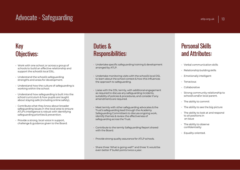# Advocate - Safeguarding atlantic atlantic atlantic atlantic atlantic atlantic atlantic atlantic atlantic atlantic atlantic atlantic atlantic atlantic atlantic atlantic atlantic atlantic atlantic atlantic atlantic atlantic

### Key Objectives:

- Work with one school, or across a group of **ey**<br>**Schools to build an effective relationship and**<br>schools to build an effective relationship and<br>support the school/s local DSL.<br>Understand the school/s safeguarding Support the school, or across a group of<br>schools to build an effective relationship and<br>support the school/s local DSL.<br>• Understand the school/s safeguarding<br>strengths and areas for development. **Strengths and areas for development areas for development of schools to build an effective relationship and support the school/s local DSL.**<br>• Understand the school/s safeguarding strengths and areas for development.<br>• Un WORTHANDISTRY WORKING WITHOUT WAS A SUMPTON SCHOOLS to build an effective relationship and support the school/s local DSL.<br>
• Understand the school/s safeguarding strengths and areas for development.<br>
• Understand how the
- 
- 
- school curriculum & how pupils are taught abools to build an effective relationship and<br>schools to build an effective relationship and<br>support the school/s local DSL.<br>Understand the school/s safeguarding<br>strengths and areas for development.<br>Understand how the cult
- safeguarding issues in the local area to ensure ATLP's intelligence is robust with identifying strengths and areas for development.<br>• Understand how the culture of safeguarding is<br>working within the school.<br>• Understand how safeguarding is built into the<br>school curriculum & how pupils are taught<br>about staying safe ( Vorking within the school.<br>
Understand how safeguarding is built into the<br>
school curriculum & how pupils are taught<br>
about staying safe (including online safety).<br>
Contribute what they know about broader<br>
safeguarding iss
- 

## **Duties &<br>Duties &<br>Responsibilities:** Responsibilities:

- Undertake specific safeguarding training & development arranged by ATLP.
- Undertake monitoring visits with the school/s local DSL to learn about the school context & how this influences the approach to safeguarding.
- Liaise with the DSL termly, with additional engagement as required to discuss any safeguarding incidents, suitability of policies & procedures, and consider if any amendments are required.
- Meet termly with other safeguarding advocates & the Trust's safeguarding lead through the Academy Safeguarding Committee's to discuss ongoing work, identify themes & review the effectiveness of safeguarding across the Trust.
- Contribute to the termly Safeguarding Report shared with the Board.
- Provide strong quality assurance for ATLP schools.
- Share three 'What is going well?' and three 'It would be even better if' bullet points twice a year.

### atlp.org.uk | 13<br>
Personal Skills<br>
and Attributes: **Personal Skills<br>and Attributes:**<br>• Verbal communication skills<br>• Relationship building skills **Personal Skills<br>and Attributes:**<br>• Verbal communication skills<br>• Relationship building skills<br>• Emotionally intelligent **Personal Skills<br>and Attributes:**<br>• Verbal communication skills<br>• Relationship building skills<br>• Emotionally intelligent<br>• Tenacious

- 
- 
- 
- Tenacious
- Collaborative
- Verbal communication skills<br>• Relationship building skills<br>• Emotionally intelligent<br>• Tenacious<br>• Collaborative<br>• Strong community relationship to<br>• school/s and/or local parent.<br>• The ability to commit School (Separation Skills<br>
School/s and/or local parents of the ability of the ability to community<br>
School/s and/or local parent.<br>
The ability to commit<br>
The ability to see the big picture<br>
School/s and/or local parent.
- 
- 
- Emotionally intelligent<br>• Tenacious<br>• Collaborative<br>• Strong community relationship to<br>• school/s and/or local parent.<br>• The ability to see the big picture<br>• The ability to look at and respond<br>• to all positions in  $\cdot$  The ability to look at and respond Tenacious<br>
Collaborative<br>
Strong community relationship to<br>
school/s and/or local parent.<br>
The ability to see the big picture<br>
The ability to look at and respond<br>
to all positions in<br>
an issue<br>
The ability to observe Collaborative<br>Strong community relationship to<br>school/s and/or local parent.<br>The ability to see the big picture<br>The ability to look at and respond<br>to all positions in<br>an issue<br>The ability to observe<br>confidentiality • Strong community relationship to<br>school/s and/or local parent.<br>• The ability to commit<br>• The ability to see the big picture<br>• The ability to look at and respond<br>to all positions in<br>• an issue<br>• The ability to observe<br>co
- confidentiality
- Equality-oriented.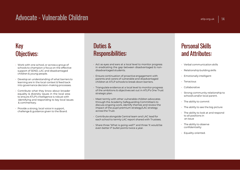# Advocate - Vulnerable Children atlantic atlantic atlantic atlantic atlantic atlantic atlantic atlantic atlantic<br>Advocate - Vulnerable Children atlantic atlantic atlantic atlantic atlantic atlantic atlantic atlantic atlanti

### Key Objectives:

- Work with one school, or across a group of schools to champion a focus on the effective support of SEND, LAC and disadvantaged **Children & Children & young people.**<br>
Children & young people.<br>
FRESPONSID: Work with one school, or across a group of<br>
support of SEND, LAC and disadvantaged<br>
onlidren & young people.<br>
- Develop an understanding of what
- learning are in the local context & feed back
- **CONTRIMERENT CONTRIGHTS:**<br>
Schools to champion a focus on the effective schools to champion a focus on the effective support of SEND, LAC and disadvantaged children & young people.<br>
 Contribute what they know about broad Work with one school, or across a group of<br>
schools to champion a focus on the effective<br>
support of SEND, LAC and disadvantaged<br>
children & young people.<br>
Develop an understanding of what barriers to<br>
learning are in the Work with one school, or across a group of<br>
schools to champion a focus on the effective<br>
support of SEND, LAC and disadvantaged<br>
children & young people.<br>
Develop an understanding of what barriers to<br>
learning are in the Work with one school, or across a group of<br>
support of SEND, LAC and disadvantaged in eradicating<br>
support of SEND, LAC and disadvantaged in eradicating<br>
children & young people.<br>
Develop an understanding of what barriers schools to champlon a focus on the effective<br>support of SEND, LAC and disadvantaged<br>children & young people.<br>• Develop an understanding of what barriers to<br>learning are in the local context & feed back<br>into governance deci Challenge & guidance given to the Board.<br>
Contribute what they know about broader<br>
contribute what they know about broader<br>
equality & diversity issues in the local area<br>
to ensure ATLP's intelligence is robust with<br>
ident
- 

## **Duties &<br>Duties &<br>Responsibilities:** Responsibilities:

- **Persona**<br> **Persona**<br> **Responsibilities:**<br>
Act as eyes and ears at a local level to monitor progress<br>
in eradicating the gap between disadvantaged & non-<br>
disadvantaged students.<br>
Relationshi **Outies &**<br> **Personal Sesponsibilities:**<br>
Act as eyes and ears at a local level to monitor progress<br>
in eradicating the gap between disadvantaged & non-<br>
disadvantaged students.<br>
Ensure continuation of proactive engagement **Duties &<br>
Responsibilities:**<br>• Act as eyes and ears at a local level to monitor progress<br>
in eradicating the gap between disadvantaged & non-<br>
• Ensure continuation of proactive engagement with<br>
parents and carers of vuln **Performally and Community Community Community Community Community Community Community Community Community Community Community Community Community Community Community Community Community Community Community Community Commu CHILDREN ATLP SCHOOLS TO SET ATLANT SCHOOLS TO SET AT ATLANT SCHOOLS AT ATLANT SCHOOLS TO BE A CHIRD SCHOOLS TO BE A CHIRD SCHOOLS TO BE A CHIRD SCHOOLS TO BE A CHIRD SCHOOLS TO BE A CHIRD SCHOOLS TO BE A CHIRD SCHOOLS OF** Fig. 2. Act as eyes and ears at a local level to monitor progress<br>in eradicating the gap between disadvantaged & non-<br>disadvantaged students.<br>Finsure continuation of proactive engagement with<br>parents and carers of vulnera
- 
- of the ambitions & objectives set out in ATLP's One Trust
- through the Academy Safeguarding Committee's to discuss ongoing work, identify themes and review the impact of the pupil premium strategy/LAC strategy First Continuation of proactive engagement with<br>parents and carers of vulnerable and disadvantaged<br>children at ATLP schools to break down barriers.<br>Triangulate evidence at a local level to monitor progress<br>of the ambition Friangulate evidence at a local level to monitor progress<br>
of the ambitions & objectives set out in ATLP's One Trust<br>
strong constant<br>
of school of state strategic plan.<br>
Accuse only the Academy Safeguarding Committee's to even better from the value of the ventral of the Academy Safeguarding Committee's to<br>through the Academy Safeguarding Committee's to<br>discuss ongoing work, identify themes and review the<br>impact of the pupil premium strategy
- 
- 

### atlp.org.uk | 14<br>
Personal Skills<br>
and Attributes: anglotgick<br> **Personal Skills<br>
and Attributes:**<br>
• Verbal communication skills<br>
• Relationship building skills **Personal Skills<br>and Attributes:**<br>• Verbal communication skills<br>• Relationship building skills<br>• Emotionally intelligent **Personal Skills<br>and Attributes:**<br>• Verbal communication skills<br>• Relationship building skills<br>• Emotionally intelligent<br>• Tenacious

- 
- 
- 
- Tenacious
- Collaborative
- Verbal communication skills<br>• Relationship building skills<br>• Emotionally intelligent<br>• Tenacious<br>• Collaborative<br>• Strong community relationship to<br>• school/s and/or local parent.<br>• The ability to commit School (State of School)<br>School (State paradions in the ability of the ability intelligent<br>School/s and/or local parent.<br>The ability to commit<br>The ability to see the big picture<br>The ability to see the big picture
- 
- 
- Emotionally intelligent<br>• Tenacious<br>• Collaborative<br>• Strong community relationship to<br>• school/s and/or local parent.<br>• The ability to see the big picture<br>• The ability to look at and respond<br>• to all positions in  $\cdot$  The ability to look at and respond Tenacious<br>
Collaborative<br>
Strong community relationship to<br>
school/s and/or local parent.<br>
The ability to commit<br>
The ability to look at and respond<br>
to all positions in<br>
an issue<br>
The ability to observe Collaborative<br>Strong community relationship to<br>school/s and/or local parent.<br>The ability to see the big picture<br>The ability to look at and respond<br>to all positions in<br>an issue<br>The ability to observe<br>confidentiality • Strong community relationship to<br>school/s and/or local parent.<br>• The ability to commit<br>• The ability to see the big picture<br>• The ability to look at and respond<br>to all positions in<br>• an issue<br>• The ability to observe<br>co
- confidentiality
- Equality-oriented.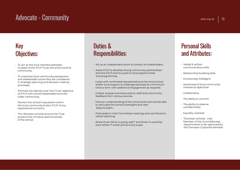# $\frac{1}{2}$  Advocate - Community at  $\frac{1}{2}$  at  $\frac{1}{2}$  at  $\frac{1}{2}$  at  $\frac{1}{2}$  at  $\frac{1}{2}$  at  $\frac{1}{2}$  at  $\frac{1}{2}$  at  $\frac{1}{2}$  at  $\frac{1}{2}$  at  $\frac{1}{2}$  at  $\frac{1}{2}$  at  $\frac{1}{2}$  at  $\frac{1}{2}$  at  $\frac{1}{2}$  at  $\frac{1$

### Key Objectives:

- **FRICH CONSTRESS**<br> **FORE CONSTRESS SECUTES:**<br>
For act as the local interface between<br>
trustees of the ATLP Trust, the school and its<br>
community. trustees of the ATLP Trust, the school and its community.
- To maximise local community perspective and stakeholder voices that are considered in strategic planning and decision-making processes. • To act as the local interface between<br>
trustees of the ATLP Trust, the school and its<br>
community.<br>
• To maximise local community perspective<br>
and stakeholder voices that are considered<br>
in strategic planning and decision • To act as the local interface between<br>trustees of the ATLP Trust, the school and its<br>community.<br>• To maximise local community perspective<br>and stakeholder voices that are considered<br>in strategic planning and decision-maki the local community perspective<br>
To maximise local community perspective<br>
and link A and link A<br>
and prog<br>
in strategic planning and decision-making<br>
processes.<br>
Promote the identity and 'One Trust' objective<br>
of ATLP with For maximise local community perspective<br>
and stakeholder voices that are considered<br>
in strategic planning and decision-making<br>
processes.<br>
• Promote the identity and 'One Trust' objective<br>
of ATLP with school stakeholder
- of ATLP with school stakeholders and the processes.<br>Promote the identity and 'One Trust' objective<br>of ATLP with school stakeholders and the<br>wider community.<br>Monitor the school's reputation within<br>the local community & alert ATLP of any<br>reputational concerns.<br>\*For
- 
- protects the Christian distinctiveness

### **Duties &<br>Duties &<br>Responsibilities:** Responsibilities: **Perso**<br> **Person Act as an independent point of contact for stakeholders.**<br>
• Act as an independent point of contact for stakeholders.<br>
• Assist ATLP to develop strong community partnerships<br>
• Relation and link ATLP and i

- 
- **and ink ATLP and its pupils to local school,**<br> **And its pupils to locat for stakeholders.**<br>
Assist ATLP to develop strong community partnerships<br>
and link ATLP and its pupils to local opportunities<br>
and programmes.<br>
Liais **Puties &<br>
Responsibilities:**<br>
• Act as an independent point of contact for stakeholders.<br>
• Assist ATLP to develop strong community partnerships<br>
and link ATLP and its pupils to local opportunities<br>
• Liaise with nominate
- and/or local support & challenge advocate at a minimum the a term with additional engagement as required.<br>
• Act as an independent point of contact for stakeholders.<br>
• Collate, ATLP to develop strong community partnerships<br>
and link ATLP and its pupils to local opportunities<br>
- 
- Fernanding of the school and trust and be able<br>
the school and the school and the school and trust and transfer and the school and programmes.<br>
 Liaise with nominated representative at the local school,<br>
 Collate, analys Assist ATLP to develop strong community partnerships<br>
and link ATLP and its pupils to local opportunities<br>
and programmes.<br>
Liaise with nominated representative at the local school,<br>
and/or local support & challenge advoca and link ATLP and its pupils to local opportunities<br>
• Liaise with nominated representative at the local school,<br>
and/or local support & challenge advocate at a minimum<br>
twice a term with additional engagement as required. verbal representative at the local school,<br>
and/or local support & challenge advocate at a minimum<br>
twice a term with additional engagement as required.<br>
• Collate, analyse and share parent, staff and community<br>
feedback f Collate, analyse and share parent, staff and community<br>feedback from various sources.<br>Have an understanding of the school and trust and be able<br>to articulate the school's strengths and next<br>steps to peers.<br>Participate in H
- 
- 

### atlp.org.uk | 15<br>Personal Skills<br>and Attributes: Explores.com<br> **Personal Skills<br>
and Attributes:**<br>
Perbal & written **Personal Skills<br>nd Attributes:**<br>Verbal & written<br>communication skills<br>Relationship building skills **Personal Skills<br>and Attributes:**<br>• Verbal & written<br>• Relationship building skills<br>• Emotionally intelligent **Personal Skills<br>
and Attributes:**<br>
• Verbal & written<br>
• Relationship building skills<br>
• Emotionally intelligent<br>
• Awareness of local community<br>
interests & objectives **and Attributes:**<br>
• Verbal & written<br>
• Relationship building skills<br>
• Emotionally intelligent<br>
• Awareness of local community<br>
interests & objectives<br>
• Collaborative

- 
- 
- 
- **INTRIBUTES:**<br>
Verbal & written<br>
communication skills<br>
Relationship building skills<br>
Emotionally intelligent<br>
Awareness of local community<br>
interests & objectives<br>
Collaborative • Verbal & written<br>
• Relationship building skills<br>
• Emotionally intelligent<br>
• Awareness of local community<br>
interests & objectives<br>
• Collaborative<br>
• The ability to commit<br>
• The ability to observe<br>
• confidentiality • Relationship building skills<br>• Emotionally intelligent<br>• Awareness of local community<br>interests & objectives<br>• Collaborative<br>• The ability to commit<br>• The ability to observe<br>confidentiality<br>• Equality-oriented
- Collaborative
- 
- confidentiality
- Equality-oriented
- Awareness of local community<br>
interests & objectives<br>
 Collaborative<br>
 The ability to commit<br>
 The ability to observe<br>
confidentiality<br>
 Equality-oriented<br>
 \*Diocesan-schools only:<br>
Member of the church/diocese.<br>
Ap interests & objectives<br>Collaborative<br>The ability to commit<br>The ability to observe<br>confidentiality<br>Equality-oriented<br>\*Diocesan-schools only:<br>Member of the church/diocese.<br>Appointment to be approved by<br>the Diocesan Corporate Appointment to be approved by Collaborative<br>The ability to commit<br>The ability to observe<br>confidentiality<br>Equality-oriented<br>\*Diocesan-schools\_only:<br>Member of the church/diocese.<br>Appointment to be approved by<br>the Diocesan Corporate Member